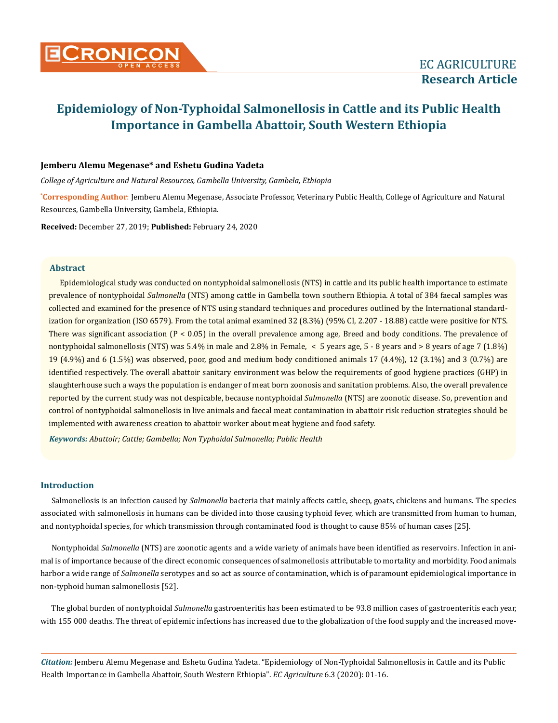

### **Jemberu Alemu Megenase\* and Eshetu Gudina Yadeta**

*College of Agriculture and Natural Resources, Gambella University, Gambela, Ethiopia*

**\* Corresponding Author**: Jemberu Alemu Megenase, Associate Professor, Veterinary Public Health, College of Agriculture and Natural Resources, Gambella University, Gambela, Ethiopia.

**Received:** December 27, 2019; **Published:** February 24, 2020

### **Abstract**

Epidemiological study was conducted on nontyphoidal salmonellosis (NTS) in cattle and its public health importance to estimate prevalence of nontyphoidal *Salmonella* (NTS) among cattle in Gambella town southern Ethiopia. A total of 384 faecal samples was collected and examined for the presence of NTS using standard techniques and procedures outlined by the International standardization for organization (ISO 6579). From the total animal examined 32 (8.3%) (95% CI, 2.207 - 18.88) cattle were positive for NTS. There was significant association (P < 0.05) in the overall prevalence among age, Breed and body conditions. The prevalence of nontyphoidal salmonellosis (NTS) was 5.4% in male and 2.8% in Female, < 5 years age, 5 - 8 years and > 8 years of age 7 (1.8%) 19 (4.9%) and 6 (1.5%) was observed, poor, good and medium body conditioned animals 17 (4.4%), 12 (3.1%) and 3 (0.7%) are identified respectively. The overall abattoir sanitary environment was below the requirements of good hygiene practices (GHP) in slaughterhouse such a ways the population is endanger of meat born zoonosis and sanitation problems. Also, the overall prevalence reported by the current study was not despicable, because nontyphoidal *Salmonella* (NTS) are zoonotic disease. So, prevention and control of nontyphoidal salmonellosis in live animals and faecal meat contamination in abattoir risk reduction strategies should be implemented with awareness creation to abattoir worker about meat hygiene and food safety.

*Keywords: Abattoir; Cattle; Gambella; Non Typhoidal Salmonella; Public Health*

#### **Introduction**

Salmonellosis is an infection caused by *Salmonella* bacteria that mainly affects cattle, sheep, goats, chickens and humans. The species associated with salmonellosis in humans can be divided into those causing typhoid fever, which are transmitted from human to human, and nontyphoidal species, for which transmission through contaminated food is thought to cause 85% of human cases [25].

Nontyphoidal *Salmonella* (NTS) are zoonotic agents and a wide variety of animals have been identified as reservoirs. Infection in animal is of importance because of the direct economic consequences of salmonellosis attributable to mortality and morbidity. Food animals harbor a wide range of *Salmonella* serotypes and so act as source of contamination, which is of paramount epidemiological importance in non-typhoid human salmonellosis [52].

The global burden of nontyphoidal *Salmonella* gastroenteritis has been estimated to be 93.8 million cases of gastroenteritis each year, with 155 000 deaths. The threat of epidemic infections has increased due to the globalization of the food supply and the increased move-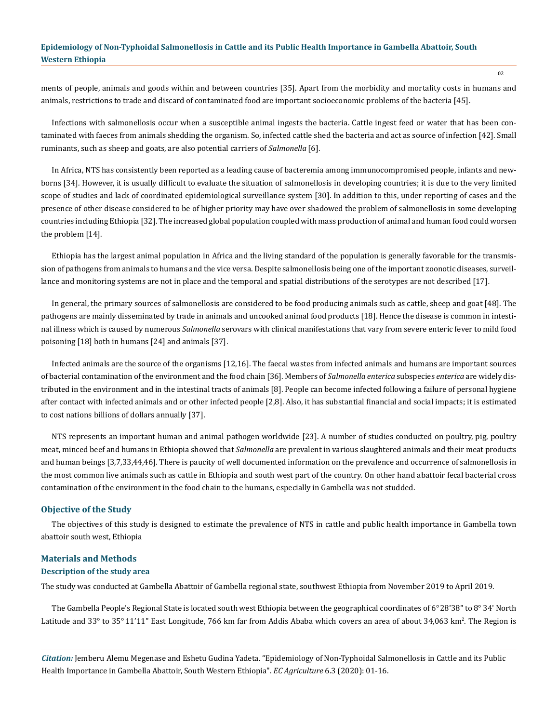ments of people, animals and goods within and between countries [35]. Apart from the morbidity and mortality costs in humans and animals, restrictions to trade and discard of contaminated food are important socioeconomic problems of the bacteria [45].

Infections with salmonellosis occur when a susceptible animal ingests the bacteria. Cattle ingest feed or water that has been contaminated with faeces from animals shedding the organism. So, infected cattle shed the bacteria and act as source of infection [42]. Small ruminants, such as sheep and goats, are also potential carriers of *Salmonella* [6]*.*

In Africa, NTS has consistently been reported as a leading cause of bacteremia among immunocompromised people, infants and newborns [34]. However, it is usually difficult to evaluate the situation of salmonellosis in developing countries; it is due to the very limited scope of studies and lack of coordinated epidemiological surveillance system [30]. In addition to this, under reporting of cases and the presence of other disease considered to be of higher priority may have over shadowed the problem of salmonellosis in some developing countries including Ethiopia [32]. The increased global population coupled with mass production of animal and human food could worsen the problem [14].

Ethiopia has the largest animal population in Africa and the living standard of the population is generally favorable for the transmission of pathogens from animals to humans and the vice versa. Despite salmonellosis being one of the important zoonotic diseases, surveillance and monitoring systems are not in place and the temporal and spatial distributions of the serotypes are not described [17].

In general, the primary sources of salmonellosis are considered to be food producing animals such as cattle, sheep and goat [48]. The pathogens are mainly disseminated by trade in animals and uncooked animal food products [18]. Hence the disease is common in intestinal illness which is caused by numerous *Salmonella* serovars with clinical manifestations that vary from severe enteric fever to mild food poisoning [18] both in humans [24] and animals [37].

Infected animals are the source of the organisms [12,16]. The faecal wastes from infected animals and humans are important sources of bacterial contamination of the environment and the food chain [36]. Members of *Salmonella enterica* subspecies *enterica* are widely distributed in the environment and in the intestinal tracts of animals [8]. People can become infected following a failure of personal hygiene after contact with infected animals and or other infected people [2,8]. Also, it has substantial financial and social impacts; it is estimated to cost nations billions of dollars annually [37].

NTS represents an important human and animal pathogen worldwide [23]. A number of studies conducted on poultry, pig, poultry meat, minced beef and humans in Ethiopia showed that *Salmonella* are prevalent in various slaughtered animals and their meat products and human beings [3,7,33,44,46]. There is paucity of well documented information on the prevalence and occurrence of salmonellosis in the most common live animals such as cattle in Ethiopia and south west part of the country. On other hand abattoir fecal bacterial cross contamination of the environment in the food chain to the humans, especially in Gambella was not studded.

### **Objective of the Study**

The objectives of this study is designed to estimate the prevalence of NTS in cattle and public health importance in Gambella town abattoir south west, Ethiopia

### **Materials and Methods**

### **Description of the study area**

The study was conducted at Gambella Abattoir of Gambella regional state, southwest Ethiopia from November 2019 to April 2019.

The Gambella People's Regional State is located south west Ethiopia between the geographical coordinates of 6°28'38" to 8° 34' North Latitude and 33° to 35°11'11" East Longitude, 766 km far from Addis Ababa which covers an area of about 34,063 km². The Region is

*Citation:* Jemberu Alemu Megenase and Eshetu Gudina Yadeta. "Epidemiology of Non-Typhoidal Salmonellosis in Cattle and its Public Health Importance in Gambella Abattoir, South Western Ethiopia". *EC Agriculture* 6.3 (2020): 01-16.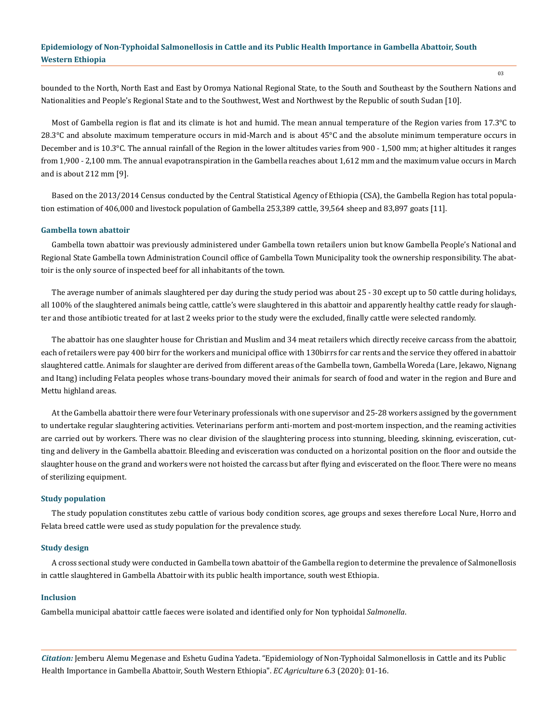bounded to the North, North East and East by Oromya National Regional State, to the South and Southeast by the Southern Nations and Nationalities and People's Regional State and to the Southwest, West and Northwest by the Republic of south Sudan [10].

Most of Gambella region is flat and its climate is hot and humid. The mean annual temperature of the Region varies from 17.3°C to 28.3°C and absolute maximum temperature occurs in mid-March and is about 45°C and the absolute minimum temperature occurs in December and is 10.3°C. The annual rainfall of the Region in the lower altitudes varies from 900 - 1,500 mm; at higher altitudes it ranges from 1,900 - 2,100 mm. The annual evapotranspiration in the Gambella reaches about 1,612 mm and the maximum value occurs in March and is about 212 mm [9].

Based on the 2013/2014 Census conducted by the Central Statistical Agency of Ethiopia (CSA), the Gambella Region has total population estimation of 406,000 and livestock population of Gambella 253,389 cattle, 39,564 sheep and 83,897 goats [11].

#### **Gambella town abattoir**

Gambella town abattoir was previously administered under Gambella town retailers union but know Gambella People's National and Regional State Gambella town Administration Council office of Gambella Town Municipality took the ownership responsibility. The abattoir is the only source of inspected beef for all inhabitants of the town.

The average number of animals slaughtered per day during the study period was about 25 - 30 except up to 50 cattle during holidays, all 100% of the slaughtered animals being cattle, cattle's were slaughtered in this abattoir and apparently healthy cattle ready for slaughter and those antibiotic treated for at last 2 weeks prior to the study were the excluded, finally cattle were selected randomly.

The abattoir has one slaughter house for Christian and Muslim and 34 meat retailers which directly receive carcass from the abattoir, each of retailers were pay 400 birr for the workers and municipal office with 130birrs for car rents and the service they offered in abattoir slaughtered cattle. Animals for slaughter are derived from different areas of the Gambella town, Gambella Woreda (Lare, Jekawo, Nignang and Itang) including Felata peoples whose trans-boundary moved their animals for search of food and water in the region and Bure and Mettu highland areas.

At the Gambella abattoir there were four Veterinary professionals with one supervisor and 25-28 workers assigned by the government to undertake regular slaughtering activities. Veterinarians perform anti-mortem and post-mortem inspection, and the reaming activities are carried out by workers. There was no clear division of the slaughtering process into stunning, bleeding, skinning, evisceration, cutting and delivery in the Gambella abattoir. Bleeding and evisceration was conducted on a horizontal position on the floor and outside the slaughter house on the grand and workers were not hoisted the carcass but after flying and eviscerated on the floor. There were no means of sterilizing equipment.

#### **Study population**

The study population constitutes zebu cattle of various body condition scores, age groups and sexes therefore Local Nure, Horro and Felata breed cattle were used as study population for the prevalence study.

### **Study design**

A cross sectional study were conducted in Gambella town abattoir of the Gambella region to determine the prevalence of Salmonellosis in cattle slaughtered in Gambella Abattoir with its public health importance, south west Ethiopia.

### **Inclusion**

Gambella municipal abattoir cattle faeces were isolated and identified only for Non typhoidal *Salmonella*.

*Citation:* Jemberu Alemu Megenase and Eshetu Gudina Yadeta. "Epidemiology of Non-Typhoidal Salmonellosis in Cattle and its Public Health Importance in Gambella Abattoir, South Western Ethiopia". *EC Agriculture* 6.3 (2020): 01-16.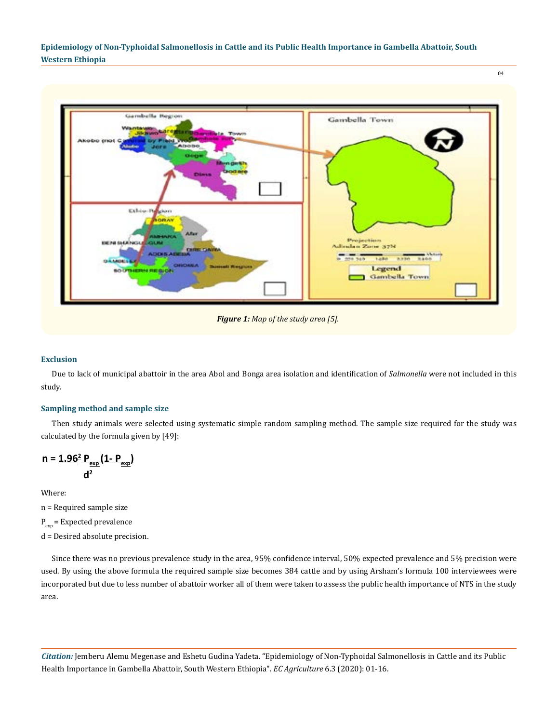04



*Figure 1: Map of the study area [5].*

### **Exclusion**

Due to lack of municipal abattoir in the area Abol and Bonga area isolation and identification of *Salmonella* were not included in this study.

### **Sampling method and sample size**

Then study animals were selected using systematic simple random sampling method. The sample size required for the study was calculated by the formula given by [49]:

$$
n = \frac{1.96^2 \, P_{exp}}{d^2} \left( \frac{1 - P_{exp}}{2} \right)
$$

Where:

n = Required sample size

 $P_{\text{exp}}$  = Expected prevalence

d = Desired absolute precision.

Since there was no previous prevalence study in the area, 95% confidence interval, 50% expected prevalence and 5% precision were used. By using the above formula the required sample size becomes 384 cattle and by using Arsham's formula 100 interviewees were incorporated but due to less number of abattoir worker all of them were taken to assess the public health importance of NTS in the study area.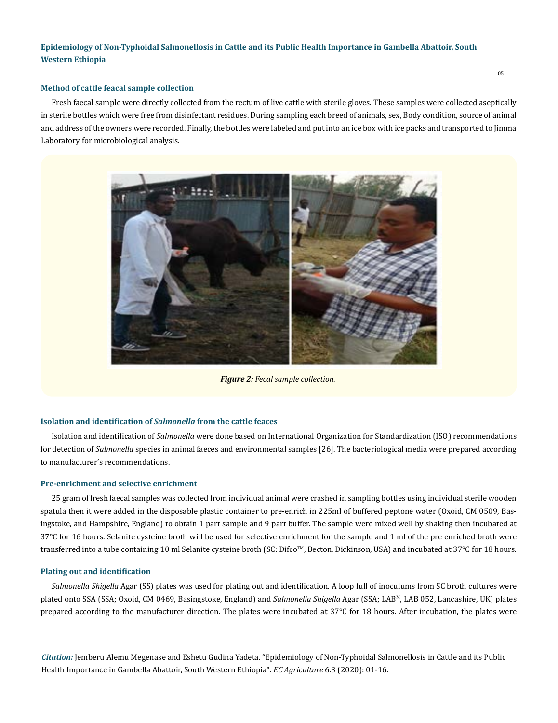### **Method of cattle feacal sample collection**

Fresh faecal sample were directly collected from the rectum of live cattle with sterile gloves. These samples were collected aseptically in sterile bottles which were free from disinfectant residues. During sampling each breed of animals, sex, Body condition, source of animal and address of the owners were recorded. Finally, the bottles were labeled and put into an ice box with ice packs and transported to Jimma Laboratory for microbiological analysis.



*Figure 2: Fecal sample collection.*

### **Isolation and identification of** *Salmonella* **from the cattle feaces**

Isolation and identification of *Salmonella* were done based on International Organization for Standardization (ISO) recommendations for detection of *Salmonella* species in animal faeces and environmental samples [26]. The bacteriological media were prepared according to manufacturer's recommendations.

#### **Pre-enrichment and selective enrichment**

25 gram of fresh faecal samples was collected from individual animal were crashed in sampling bottles using individual sterile wooden spatula then it were added in the disposable plastic container to pre-enrich in 225ml of buffered peptone water (Oxoid, CM 0509, Basingstoke, and Hampshire, England) to obtain 1 part sample and 9 part buffer. The sample were mixed well by shaking then incubated at 37°C for 16 hours. Selanite cysteine broth will be used for selective enrichment for the sample and 1 ml of the pre enriched broth were transferred into a tube containing 10 ml Selanite cysteine broth (SC: Difco™, Becton, Dickinson, USA) and incubated at 37°C for 18 hours.

### **Plating out and identification**

*Salmonella Shigella* Agar (SS) plates was used for plating out and identification. A loop full of inoculums from SC broth cultures were plated onto SSA (SSA; Oxoid, CM 0469, Basingstoke, England) and *Salmonella Shigella* Agar (SSA; LAB<sup>M</sup>, LAB 052, Lancashire, UK) plates prepared according to the manufacturer direction. The plates were incubated at  $37^{\circ}$ C for 18 hours. After incubation, the plates were

*Citation:* Jemberu Alemu Megenase and Eshetu Gudina Yadeta. "Epidemiology of Non-Typhoidal Salmonellosis in Cattle and its Public Health Importance in Gambella Abattoir, South Western Ethiopia". *EC Agriculture* 6.3 (2020): 01-16.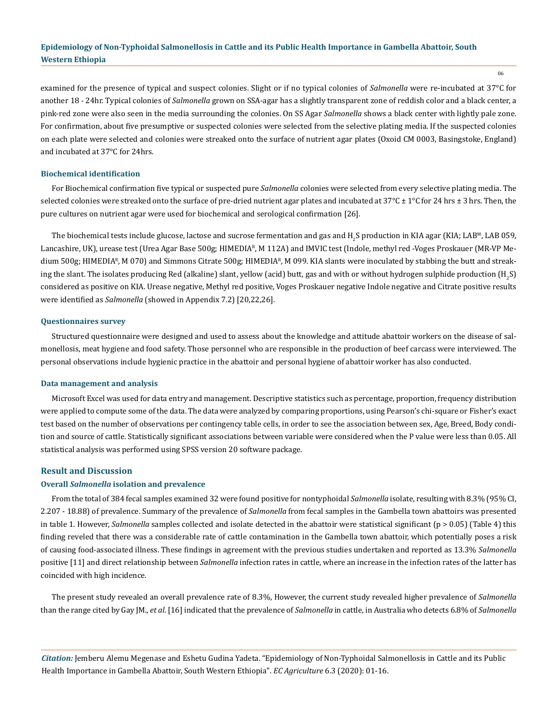06

examined for the presence of typical and suspect colonies. Slight or if no typical colonies of *Salmonella* were re-incubated at 37°C for another 18 - 24hr. Typical colonies of *Salmonella* grown on SSA-agar has a slightly transparent zone of reddish color and a black center, a pink-red zone were also seen in the media surrounding the colonies. On SS Agar *Salmonella* shows a black center with lightly pale zone. For confirmation, about five presumptive or suspected colonies were selected from the selective plating media. If the suspected colonies on each plate were selected and colonies were streaked onto the surface of nutrient agar plates (Oxoid CM 0003, Basingstoke, England) and incubated at 37°C for 24hrs.

### **Biochemical identification**

For Biochemical confirmation five typical or suspected pure *Salmonella* colonies were selected from every selective plating media. The selected colonies were streaked onto the surface of pre-dried nutrient agar plates and incubated at  $37^{\circ}$ C ± 1°C for 24 hrs ± 3 hrs. Then, the pure cultures on nutrient agar were used for biochemical and serological confirmation [26].

The biochemical tests include glucose, lactose and sucrose fermentation and gas and  $\rm{H}_{2}S$  production in KIA agar (KIA; LAB<sup>M</sup>, LAB 059, Lancashire, UK), urease test (Urea Agar Base 500g; HIMEDIAR, M 112A) and IMVIC test (Indole, methyl red -Voges Proskauer (MR-VP Medium 500g; HIMEDIAR, M 070) and Simmons Citrate 500g; HIMEDIAR, M 099. KIA slants were inoculated by stabbing the butt and streaking the slant. The isolates producing Red (alkaline) slant, yellow (acid) butt, gas and with or without hydrogen sulphide production (H<sub>2</sub>S) considered as positive on KIA. Urease negative, Methyl red positive, Voges Proskauer negative Indole negative and Citrate positive results were identified as *Salmonella* (showed in Appendix 7.2) [20,22,26].

### **Questionnaires survey**

Structured questionnaire were designed and used to assess about the knowledge and attitude abattoir workers on the disease of salmonellosis, meat hygiene and food safety. Those personnel who are responsible in the production of beef carcass were interviewed. The personal observations include hygienic practice in the abattoir and personal hygiene of abattoir worker has also conducted.

### **Data management and analysis**

Microsoft Excel was used for data entry and management. Descriptive statistics such as percentage, proportion, frequency distribution were applied to compute some of the data. The data were analyzed by comparing proportions, using Pearson's chi-square or Fisher's exact test based on the number of observations per contingency table cells, in order to see the association between sex, Age, Breed, Body condition and source of cattle. Statistically significant associations between variable were considered when the P value were less than 0.05. All statistical analysis was performed using SPSS version 20 software package.

### **Result and Discussion**

### **Overall** *Salmonella* **isolation and prevalence**

From the total of 384 fecal samples examined 32 were found positive for nontyphoidal *Salmonella* isolate, resulting with 8.3% (95% CI, 2.207 - 18.88) of prevalence. Summary of the prevalence of *Salmonella* from fecal samples in the Gambella town abattoirs was presented in table 1. However, *Salmonella* samples collected and isolate detected in the abattoir were statistical significant (p > 0.05) (Table 4) this finding reveled that there was a considerable rate of cattle contamination in the Gambella town abattoir, which potentially poses a risk of causing food-associated illness. These findings in agreement with the previous studies undertaken and reported as 13.3% *Salmonella* positive [11] and direct relationship between *Salmonella* infection rates in cattle, where an increase in the infection rates of the latter has coincided with high incidence.

The present study revealed an overall prevalence rate of 8.3%, However, the current study revealed higher prevalence of *Salmonella*  than the range cited by Gay JM., *et al*. [16] indicated that the prevalence of *Salmonella* in cattle, in Australia who detects 6.8% of *Salmonella*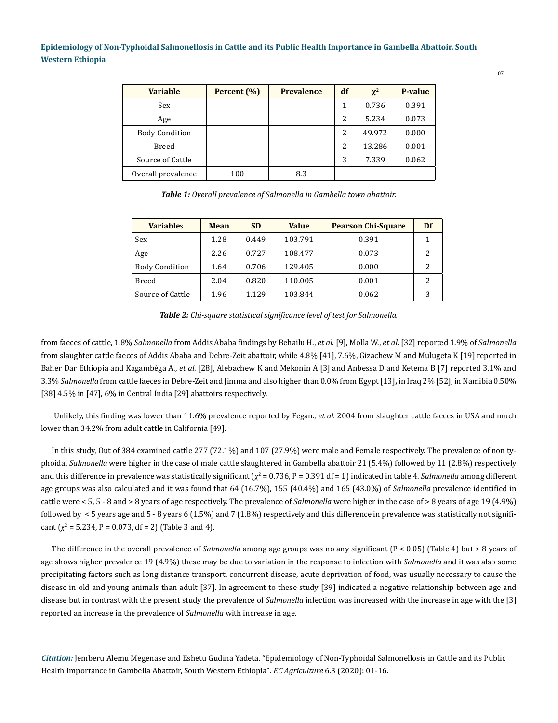| <b>Variable</b>       | Percent (%) | <b>Prevalence</b> | df | $\chi^2$ | P-value |
|-----------------------|-------------|-------------------|----|----------|---------|
| Sex                   |             |                   |    | 0.736    | 0.391   |
| Age                   |             |                   | 2  | 5.234    | 0.073   |
| <b>Body Condition</b> |             |                   | 2  | 49.972   | 0.000   |
| <b>Breed</b>          |             |                   | 2  | 13.286   | 0.001   |
| Source of Cattle      |             |                   | 3  | 7.339    | 0.062   |
| Overall prevalence    | 100         | 8.3               |    |          |         |

*Table 1: Overall prevalence of Salmonella in Gambella town abattoir.*

| <b>Variables</b>      | Mean | <b>SD</b> | <b>Value</b> | <b>Pearson Chi-Square</b> | Df |
|-----------------------|------|-----------|--------------|---------------------------|----|
| Sex                   | 1.28 | 0.449     | 103.791      | 0.391                     |    |
| Age                   | 2.26 | 0.727     | 108.477      | 0.073                     | 2  |
| <b>Body Condition</b> | 1.64 | 0.706     | 129.405      | 0.000                     | 2  |
| Breed                 | 2.04 | 0.820     | 110.005      | 0.001                     | 2  |
| Source of Cattle      | 1.96 | 1.129     | 103.844      | 0.062                     | 3  |

*Table 2: Chi-square statistical significance level of test for Salmonella.*

from faeces of cattle, 1.8% *Salmonella* from Addis Ababa findings by Behailu H., *et al*. [9], Molla W., *et al*. [32] reported 1.9% of *Salmonella* from slaughter cattle faeces of Addis Ababa and Debre-Zeit abattoir, while 4.8% [41], 7.6%, Gizachew M and Mulugeta K [19] reported in Baher Dar Ethiopia and Kagambèga A., *et al*. [28], Alebachew K and Mekonin A [3] and Anbessa D and Ketema B [7] reported 3.1% and 3.3% *Salmonella* from cattle faeces in Debre-Zeit and Jimma and also higher than 0.0% from Egypt [13]**,** in Iraq 2% [52], in Namibia 0.50% [38] 4.5% in [47], 6% in Central India [29] abattoirs respectively.

 Unlikely, this finding was lower than 11.6% prevalence reported by Fegan., *et al.* 2004 from slaughter cattle faeces in USA and much lower than 34.2% from adult cattle in California [49].

In this study, Out of 384 examined cattle 277 (72.1%) and 107 (27.9%) were male and Female respectively. The prevalence of non typhoidal *Salmonella* were higher in the case of male cattle slaughtered in Gambella abattoir 21 (5.4%) followed by 11 (2.8%) respectively and this difference in prevalence was statistically significant ( $\chi^2$  = 0.736, P = 0.391 df = 1) indicated in table 4. *Salmonella* among different age groups was also calculated and it was found that 64 (16.7%), 155 (40.4%) and 165 (43.0%) of *Salmonella* prevalence identified in cattle were < 5, 5 - 8 and > 8 years of age respectively. The prevalence of *Salmonella* were higher in the case of > 8 years of age 19 (4.9%) followed by  $\lt$  5 years age and 5 - 8 years 6 (1.5%) and 7 (1.8%) respectively and this difference in prevalence was statistically not significant ( $\chi^2$  = 5.234, P = 0.073, df = 2) (Table 3 and 4).

The difference in the overall prevalence of *Salmonella* among age groups was no any significant (P < 0.05) (Table 4) but > 8 years of age shows higher prevalence 19 (4.9%) these may be due to variation in the response to infection with *Salmonella* and it was also some precipitating factors such as long distance transport, concurrent disease, acute deprivation of food, was usually necessary to cause the disease in old and young animals than adult [37]. In agreement to these study [39] indicated a negative relationship between age and disease but in contrast with the present study the prevalence of *Salmonella* infection was increased with the increase in age with the [3] reported an increase in the prevalence of *Salmonella* with increase in age.

*Citation:* Jemberu Alemu Megenase and Eshetu Gudina Yadeta. "Epidemiology of Non-Typhoidal Salmonellosis in Cattle and its Public Health Importance in Gambella Abattoir, South Western Ethiopia". *EC Agriculture* 6.3 (2020): 01-16.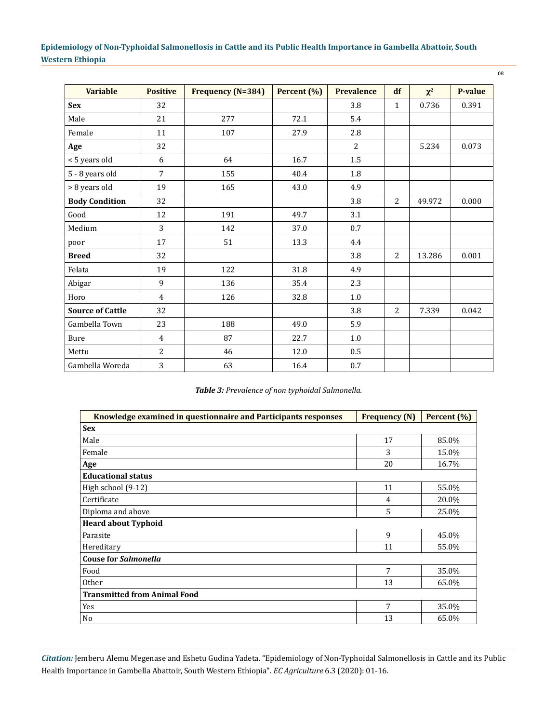| <b>Variable</b>         | <b>Positive</b> | <b>Frequency (N=384)</b> | Percent (%) | <b>Prevalence</b> | df             | $\chi^2$ | P-value |
|-------------------------|-----------------|--------------------------|-------------|-------------------|----------------|----------|---------|
| <b>Sex</b>              | 32              |                          |             | 3.8               | $\mathbf{1}$   | 0.736    | 0.391   |
| Male                    | 21              | 277                      | 72.1        | 5.4               |                |          |         |
| Female                  | 11              | 107                      | 27.9        | 2.8               |                |          |         |
| Age                     | 32              |                          |             | $\overline{2}$    |                | 5.234    | 0.073   |
| < 5 years old           | 6               | 64                       | 16.7        | $1.5\,$           |                |          |         |
| 5 - 8 years old         | $\overline{7}$  | 155                      | 40.4        | 1.8               |                |          |         |
| > 8 years old           | 19              | 165                      | 43.0        | 4.9               |                |          |         |
| <b>Body Condition</b>   | 32              |                          |             | 3.8               | 2              | 49.972   | 0.000   |
| Good                    | 12              | 191                      | 49.7        | 3.1               |                |          |         |
| Medium                  | 3               | 142                      | 37.0        | 0.7               |                |          |         |
| poor                    | 17              | 51                       | 13.3        | 4.4               |                |          |         |
| <b>Breed</b>            | 32              |                          |             | 3.8               | $\overline{2}$ | 13.286   | 0.001   |
| Felata                  | 19              | 122                      | 31.8        | 4.9               |                |          |         |
| Abigar                  | 9               | 136                      | 35.4        | 2.3               |                |          |         |
| Horo                    | $\overline{4}$  | 126                      | 32.8        | $1.0\,$           |                |          |         |
| <b>Source of Cattle</b> | 32              |                          |             | 3.8               | 2              | 7.339    | 0.042   |
| Gambella Town           | 23              | 188                      | 49.0        | 5.9               |                |          |         |
| Bure                    | $\overline{4}$  | 87                       | 22.7        | $1.0\,$           |                |          |         |
| Mettu                   | $\overline{2}$  | 46                       | 12.0        | 0.5               |                |          |         |
| Gambella Woreda         | 3               | 63                       | 16.4        | $0.7\,$           |                |          |         |

*Table 3: Prevalence of non typhoidal Salmonella.*

| Knowledge examined in questionnaire and Participants responses | <b>Frequency (N)</b> | Percent (%) |  |  |  |  |
|----------------------------------------------------------------|----------------------|-------------|--|--|--|--|
| <b>Sex</b>                                                     |                      |             |  |  |  |  |
| Male                                                           | 17                   | 85.0%       |  |  |  |  |
| Female                                                         | 3                    | 15.0%       |  |  |  |  |
| Age                                                            | 20                   | 16.7%       |  |  |  |  |
| <b>Educational status</b>                                      |                      |             |  |  |  |  |
| High school (9-12)                                             | 11                   | 55.0%       |  |  |  |  |
| Certificate                                                    | 4                    | 20.0%       |  |  |  |  |
| Diploma and above                                              | 5                    | 25.0%       |  |  |  |  |
| <b>Heard about Typhoid</b>                                     |                      |             |  |  |  |  |
| Parasite                                                       | 9                    | 45.0%       |  |  |  |  |
| Hereditary                                                     | 11                   | 55.0%       |  |  |  |  |
| <b>Couse for Salmonella</b>                                    |                      |             |  |  |  |  |
| Food                                                           | 7                    | 35.0%       |  |  |  |  |
| <b>Other</b>                                                   | 13                   | 65.0%       |  |  |  |  |
| <b>Transmitted from Animal Food</b>                            |                      |             |  |  |  |  |
| Yes                                                            | 7                    | 35.0%       |  |  |  |  |
| No                                                             | 13                   | 65.0%       |  |  |  |  |

08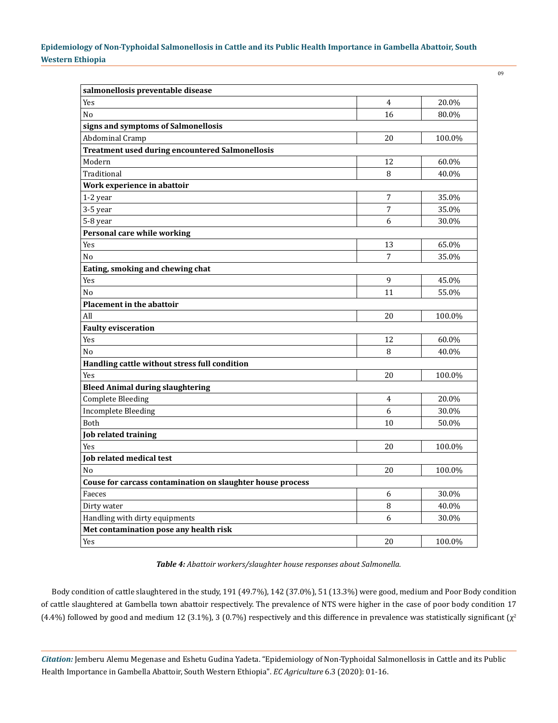| I            | ۰,                |  |
|--------------|-------------------|--|
| I<br>٠<br>۰. | I<br>ł<br>I<br>۰. |  |
|              |                   |  |

| salmonellosis preventable disease                          |                |        |  |  |
|------------------------------------------------------------|----------------|--------|--|--|
| Yes                                                        | 4              | 20.0%  |  |  |
| N <sub>0</sub>                                             | 16             | 80.0%  |  |  |
| signs and symptoms of Salmonellosis                        |                |        |  |  |
| <b>Abdominal Cramp</b>                                     | 20             | 100.0% |  |  |
| <b>Treatment used during encountered Salmonellosis</b>     |                |        |  |  |
| Modern                                                     | 12             | 60.0%  |  |  |
| Traditional                                                | 8              | 40.0%  |  |  |
| Work experience in abattoir                                |                |        |  |  |
| 1-2 year                                                   | 7              | 35.0%  |  |  |
| 3-5 year                                                   | 7              | 35.0%  |  |  |
| 5-8 year                                                   | 6              | 30.0%  |  |  |
| Personal care while working                                |                |        |  |  |
| Yes                                                        | 13             | 65.0%  |  |  |
| No                                                         | $\overline{7}$ | 35.0%  |  |  |
| Eating, smoking and chewing chat                           |                |        |  |  |
| Yes                                                        | 9              | 45.0%  |  |  |
| N <sub>0</sub>                                             | 11             | 55.0%  |  |  |
| <b>Placement in the abattoir</b>                           |                |        |  |  |
| All                                                        | 20             | 100.0% |  |  |
| <b>Faulty evisceration</b>                                 |                |        |  |  |
| Yes                                                        | 12             | 60.0%  |  |  |
| No                                                         | 8              | 40.0%  |  |  |
| Handling cattle without stress full condition              |                |        |  |  |
| Yes                                                        | 20             | 100.0% |  |  |
| <b>Bleed Animal during slaughtering</b>                    |                |        |  |  |
| <b>Complete Bleeding</b>                                   | 4              | 20.0%  |  |  |
| <b>Incomplete Bleeding</b>                                 | 6              | 30.0%  |  |  |
| Both                                                       | 10             | 50.0%  |  |  |
| Job related training                                       |                |        |  |  |
| Yes                                                        | 20             | 100.0% |  |  |
| <b>Job related medical test</b>                            |                |        |  |  |
| No                                                         | 20             | 100.0% |  |  |
| Couse for carcass contamination on slaughter house process |                |        |  |  |
| Faeces                                                     | 6              | 30.0%  |  |  |
| Dirty water                                                | 8              | 40.0%  |  |  |
| Handling with dirty equipments                             | 6              | 30.0%  |  |  |
| Met contamination pose any health risk                     |                |        |  |  |
| Yes                                                        | 20             | 100.0% |  |  |
|                                                            |                |        |  |  |

*Table 4: Abattoir workers/slaughter house responses about Salmonella.*

Body condition of cattle slaughtered in the study, 191 (49.7%), 142 (37.0%), 51 (13.3%) were good, medium and Poor Body condition of cattle slaughtered at Gambella town abattoir respectively. The prevalence of NTS were higher in the case of poor body condition 17 (4.4%) followed by good and medium 12 (3.1%), 3 (0.7%) respectively and this difference in prevalence was statistically significant ( $\chi^2$ 

*Citation:* Jemberu Alemu Megenase and Eshetu Gudina Yadeta. "Epidemiology of Non-Typhoidal Salmonellosis in Cattle and its Public Health Importance in Gambella Abattoir, South Western Ethiopia". *EC Agriculture* 6.3 (2020): 01-16.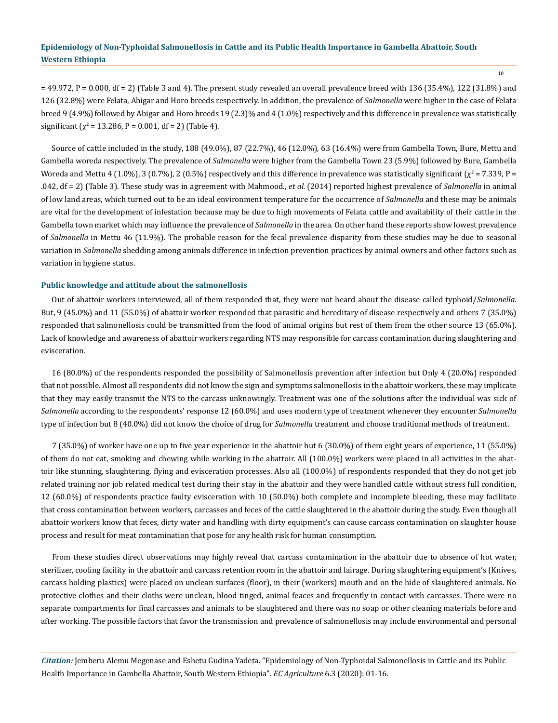$=$  49.972, P = 0.000, df = 2) (Table 3 and 4). The present study revealed an overall prevalence breed with 136 (35.4%), 122 (31.8%) and 126 (32.8%) were Felata, Abigar and Horo breeds respectively. In addition, the prevalence of *Salmonella* were higher in the case of Felata breed 9 (4.9%) followed by Abigar and Horo breeds 19 (2.3)% and 4 (1.0%) respectively and this difference in prevalence was statistically significant ( $\chi^2$  = 13.286, P = 0.001, df = 2) (Table 4).

Source of cattle included in the study, 188 (49.0%), 87 (22.7%), 46 (12.0%), 63 (16.4%) were from Gambella Town, Bure, Mettu and Gambella woreda respectively. The prevalence of *Salmonella* were higher from the Gambella Town 23 (5.9%) followed by Bure, Gambella Woreda and Mettu 4 (1.0%), 3 (0.7%), 2 (0.5%) respectively and this difference in prevalence was statistically significant ( $\chi^2$  = 7.339, P = .042, df = 2) (Table 3). These study was in agreement with Mahmood., *et al.* (2014) reported highest prevalence of *Salmonella* in animal of low land areas, which turned out to be an ideal environment temperature for the occurrence of *Salmonella* and these may be animals are vital for the development of infestation because may be due to high movements of Felata cattle and availability of their cattle in the Gambella town market which may influence the prevalence of *Salmonella* in the area. On other hand these reports show lowest prevalence of *Salmonella* in Mettu 46 (11.9%). The probable reason for the fecal prevalence disparity from these studies may be due to seasonal variation in *Salmonella* shedding among animals difference in infection prevention practices by animal owners and other factors such as variation in hygiene status.

### **Public knowledge and attitude about the salmonellosis**

Out of abattoir workers interviewed, all of them responded that, they were not heard about the disease called typhoid/*Salmonella.*  But, 9 (45.0%) and 11 (55.0%) of abattoir worker responded that parasitic and hereditary of disease respectively and others 7 (35.0%) responded that salmonellosis could be transmitted from the food of animal origins but rest of them from the other source 13 (65.0%). Lack of knowledge and awareness of abattoir workers regarding NTS may responsible for carcass contamination during slaughtering and evisceration.

16 (80.0%) of the respondents responded the possibility of Salmonellosis prevention after infection but Only 4 (20.0%) responded that not possible. Almost all respondents did not know the sign and symptoms salmonellosis in the abattoir workers, these may implicate that they may easily transmit the NTS to the carcass unknowingly. Treatment was one of the solutions after the individual was sick of *Salmonella* according to the respondents' response 12 (60.0%) and uses modern type of treatment whenever they encounter *Salmonella*  type of infection but 8 (40.0%) did not know the choice of drug for *Salmonella* treatment and choose traditional methods of treatment.

7 (35.0%) of worker have one up to five year experience in the abattoir but 6 (30.0%) of them eight years of experience, 11 (55.0%) of them do not eat, smoking and chewing while working in the abattoir. All (100.0%) workers were placed in all activities in the abattoir like stunning, slaughtering, flying and evisceration processes. Also all (100.0%) of respondents responded that they do not get job related training nor job related medical test during their stay in the abattoir and they were handled cattle without stress full condition, 12 (60.0%) of respondents practice faulty evisceration with 10 (50.0%) both complete and incomplete bleeding, these may facilitate that cross contamination between workers, carcasses and feces of the cattle slaughtered in the abattoir during the study. Even though all abattoir workers know that feces, dirty water and handling with dirty equipment's can cause carcass contamination on slaughter house process and result for meat contamination that pose for any health risk for human consumption.

From these studies direct observations may highly reveal that carcass contamination in the abattoir due to absence of hot water, sterilizer, cooling facility in the abattoir and carcass retention room in the abattoir and lairage. During slaughtering equipment's (Knives, carcass holding plastics) were placed on unclean surfaces (floor), in their (workers) mouth and on the hide of slaughtered animals. No protective clothes and their cloths were unclean, blood tinged, animal feaces and frequently in contact with carcasses. There were no separate compartments for final carcasses and animals to be slaughtered and there was no soap or other cleaning materials before and after working. The possible factors that favor the transmission and prevalence of salmonellosis may include environmental and personal

*Citation:* Jemberu Alemu Megenase and Eshetu Gudina Yadeta. "Epidemiology of Non-Typhoidal Salmonellosis in Cattle and its Public Health Importance in Gambella Abattoir, South Western Ethiopia". *EC Agriculture* 6.3 (2020): 01-16.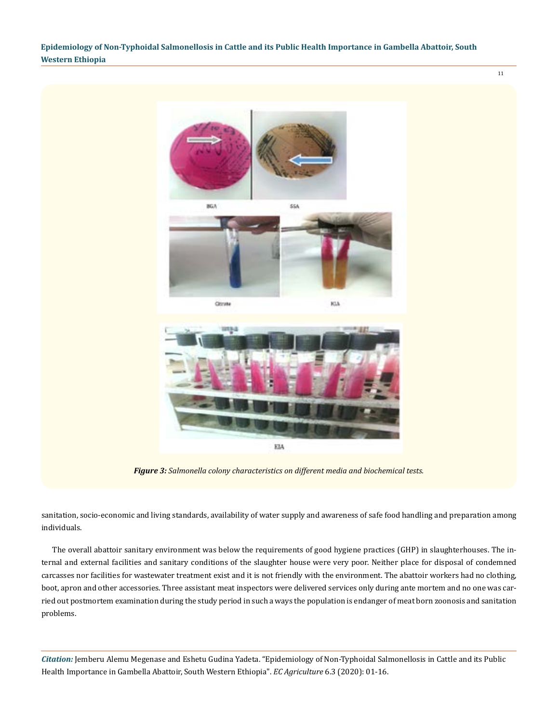11



*Figure 3: Salmonella colony characteristics on different media and biochemical tests.*

sanitation, socio-economic and living standards, availability of water supply and awareness of safe food handling and preparation among individuals.

The overall abattoir sanitary environment was below the requirements of good hygiene practices (GHP) in slaughterhouses. The internal and external facilities and sanitary conditions of the slaughter house were very poor. Neither place for disposal of condemned carcasses nor facilities for wastewater treatment exist and it is not friendly with the environment. The abattoir workers had no clothing, boot, apron and other accessories. Three assistant meat inspectors were delivered services only during ante mortem and no one was carried out postmortem examination during the study period in such a ways the population is endanger of meat born zoonosis and sanitation problems.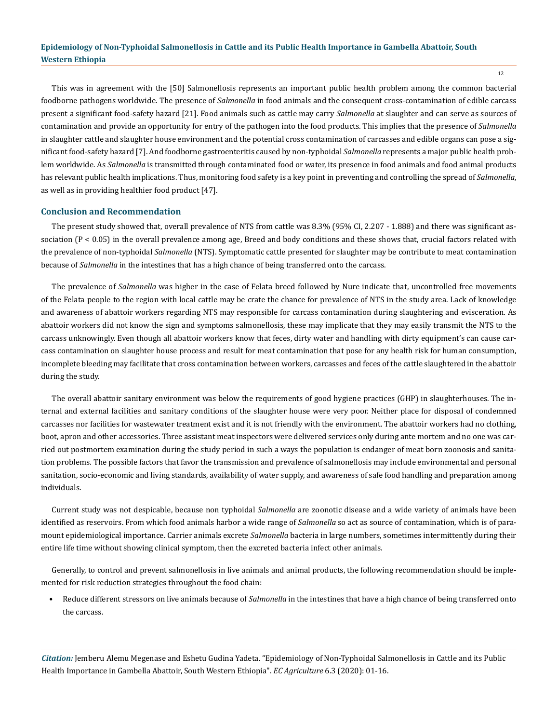This was in agreement with the [50] Salmonellosis represents an important public health problem among the common bacterial foodborne pathogens worldwide. The presence of *Salmonella* in food animals and the consequent cross-contamination of edible carcass present a significant food-safety hazard [21]. Food animals such as cattle may carry *Salmonella* at slaughter and can serve as sources of contamination and provide an opportunity for entry of the pathogen into the food products. This implies that the presence of *Salmonella*  in slaughter cattle and slaughter house environment and the potential cross contamination of carcasses and edible organs can pose a significant food-safety hazard [7]. And foodborne gastroenteritis caused by non-typhoidal *Salmonella* represents a major public health problem worldwide. As *Salmonella* is transmitted through contaminated food or water, its presence in food animals and food animal products has relevant public health implications. Thus, monitoring food safety is a key point in preventing and controlling the spread of *Salmonella*, as well as in providing healthier food product [47].

### **Conclusion and Recommendation**

The present study showed that, overall prevalence of NTS from cattle was 8.3% (95% CI, 2.207 - 1.888) and there was significant association  $(P < 0.05)$  in the overall prevalence among age, Breed and body conditions and these shows that, crucial factors related with the prevalence of non-typhoidal *Salmonella* (NTS). Symptomatic cattle presented for slaughter may be contribute to meat contamination because of *Salmonella* in the intestines that has a high chance of being transferred onto the carcass.

The prevalence of *Salmonella* was higher in the case of Felata breed followed by Nure indicate that, uncontrolled free movements of the Felata people to the region with local cattle may be crate the chance for prevalence of NTS in the study area. Lack of knowledge and awareness of abattoir workers regarding NTS may responsible for carcass contamination during slaughtering and evisceration. As abattoir workers did not know the sign and symptoms salmonellosis, these may implicate that they may easily transmit the NTS to the carcass unknowingly. Even though all abattoir workers know that feces, dirty water and handling with dirty equipment's can cause carcass contamination on slaughter house process and result for meat contamination that pose for any health risk for human consumption, incomplete bleeding may facilitate that cross contamination between workers, carcasses and feces of the cattle slaughtered in the abattoir during the study.

The overall abattoir sanitary environment was below the requirements of good hygiene practices (GHP) in slaughterhouses. The internal and external facilities and sanitary conditions of the slaughter house were very poor. Neither place for disposal of condemned carcasses nor facilities for wastewater treatment exist and it is not friendly with the environment. The abattoir workers had no clothing, boot, apron and other accessories. Three assistant meat inspectors were delivered services only during ante mortem and no one was carried out postmortem examination during the study period in such a ways the population is endanger of meat born zoonosis and sanitation problems. The possible factors that favor the transmission and prevalence of salmonellosis may include environmental and personal sanitation, socio-economic and living standards, availability of water supply, and awareness of safe food handling and preparation among individuals.

Current study was not despicable, because non typhoidal *Salmonella* are zoonotic disease and a wide variety of animals have been identified as reservoirs. From which food animals harbor a wide range of *Salmonella* so act as source of contamination, which is of paramount epidemiological importance. Carrier animals excrete *Salmonella* bacteria in large numbers, sometimes intermittently during their entire life time without showing clinical symptom, then the excreted bacteria infect other animals.

Generally, to control and prevent salmonellosis in live animals and animal products, the following recommendation should be implemented for risk reduction strategies throughout the food chain:

• Reduce different stressors on live animals because of *Salmonella* in the intestines that have a high chance of being transferred onto the carcass.

*Citation:* Jemberu Alemu Megenase and Eshetu Gudina Yadeta. "Epidemiology of Non-Typhoidal Salmonellosis in Cattle and its Public Health Importance in Gambella Abattoir, South Western Ethiopia". *EC Agriculture* 6.3 (2020): 01-16.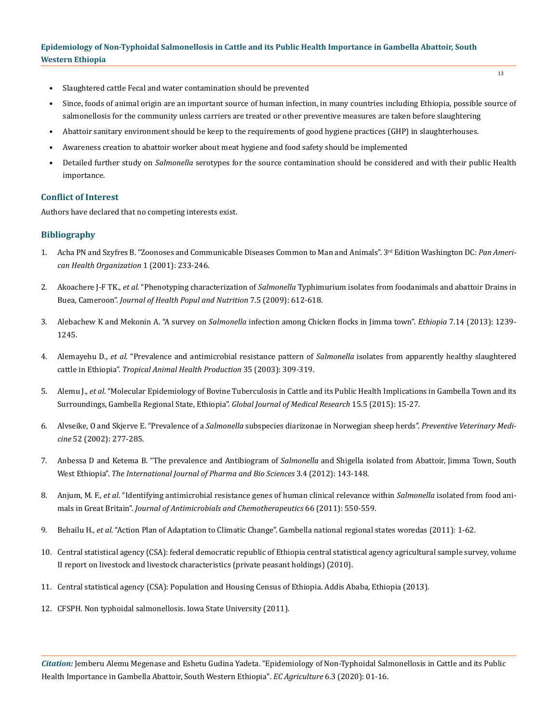- Slaughtered cattle Fecal and water contamination should be prevented
- Since, foods of animal origin are an important source of human infection, in many countries including Ethiopia, possible source of salmonellosis for the community unless carriers are treated or other preventive measures are taken before slaughtering
- Abattoir sanitary environment should be keep to the requirements of good hygiene practices (GHP) in slaughterhouses.
- Awareness creation to abattoir worker about meat hygiene and food safety should be implemented
- Detailed further study on *Salmonella* serotypes for the source contamination should be considered and with their public Health importance.

### **Conflict of Interest**

Authors have declared that no competing interests exist.

### **Bibliography**

- 1. [Acha PN and Szyfres B. "Zoonoses and Communicable Diseases Common to Man and Animals". 3](https://www.paho.org/hq/index.php?option=com_content&view=article&id=2237:2010-zoonoses-communicable-diseases-common-man-animals-3rd-edition-three-volumes&Itemid=1894&lang=en)rd Edition Washington DC: *Pan Ameri[can Health Organization](https://www.paho.org/hq/index.php?option=com_content&view=article&id=2237:2010-zoonoses-communicable-diseases-common-man-animals-3rd-edition-three-volumes&Itemid=1894&lang=en)* 1 (2001): 233-246.
- 2. Akoachere J-F TK., *et al*. "Phenotyping characterization of *Salmonella* [Typhimurium isolates from foodanimals and abattoir Drains in](https://www.ncbi.nlm.nih.gov/pubmed/19902796)  Buea, Cameroon". *[Journal of Health Popul and Nutrition](https://www.ncbi.nlm.nih.gov/pubmed/19902796)* 7.5 (2009): 612-618.
- 3. Alebachew K and Mekonin A. "A survey on *Salmonella* [infection among Chicken flocks in Jimma town".](https://www.researchgate.net/publication/236154646_A_survey_on_Salmonella_infection_among_chicken_flocks_in_Jimma_town_Ethiopia) *Ethiopia* 7.14 (2013): 1239- [1245.](https://www.researchgate.net/publication/236154646_A_survey_on_Salmonella_infection_among_chicken_flocks_in_Jimma_town_Ethiopia)
- 4. Alemayehu D., *et al*[. "Prevalence and antimicrobial resistance pattern of](https://www.ncbi.nlm.nih.gov/pubmed/14509538) *Salmonella* isolates from apparently healthy slaughtered cattle in Ethiopia". *[Tropical Animal Health Production](https://www.ncbi.nlm.nih.gov/pubmed/14509538)* 35 (2003): 309-319.
- 5. Alemu J., *et al*[. "Molecular Epidemiology of Bovine Tuberculosis in Cattle and its Public Health Implications in Gambella Town and its](https://globaljournals.org/item/5470-molecular-epidemiology-of-bovine-tuberculosis-in-cattle-and-its-public-health-implications-in-gambella-town-and-its-surroundings-gambella-regional-state-ethiopia)  [Surroundings, Gambella Regional State, Ethiopia".](https://globaljournals.org/item/5470-molecular-epidemiology-of-bovine-tuberculosis-in-cattle-and-its-public-health-implications-in-gambella-town-and-its-surroundings-gambella-regional-state-ethiopia) *Global Journal of Medical Research* 15.5 (2015): 15-27.
- 6. Alvseike, O and Skjerve E. "Prevalence of a *Salmonella* [subspecies diarizonae in Norwegian sheep herds".](https://www.ncbi.nlm.nih.gov/pubmed/11849722) *Preventive Veterinary Medicine* [52 \(2002\): 277-285.](https://www.ncbi.nlm.nih.gov/pubmed/11849722)
- 7. [Anbessa D and Ketema B. "The prevalence and Antibiogram of](https://www.researchgate.net/publication/289541417_The_Prevalence_and_Antibiogram_of_Salmonella_and_Shigella_Isolated_from_Abattoir_Jimma_Town_South_West_Ethiopia) *Salmonella* and Shigella isolated from Abattoir, Jimma Town, South West Ethiopia". *[The International Journal of Pharma and Bio Sciences](https://www.researchgate.net/publication/289541417_The_Prevalence_and_Antibiogram_of_Salmonella_and_Shigella_Isolated_from_Abattoir_Jimma_Town_South_West_Ethiopia)* 3.4 (2012): 143-148.
- 8. Anjum, M. F., *et al*[. "Identifying antimicrobial resistance genes of human clinical relevance within](https://www.ncbi.nlm.nih.gov/pubmed/21393227) *Salmonella* isolated from food animals in Great Britain". *[Journal of Antimicrobials and Chemotherapeutics](https://www.ncbi.nlm.nih.gov/pubmed/21393227)* 66 (2011): 550-559.
- 9. Behailu H., *et al*. "Action Plan of Adaptation to Climatic Change". Gambella national regional states woredas (2011): 1-62.
- 10. Central statistical agency (CSA): federal democratic republic of Ethiopia central statistical agency agricultural sample survey, volume II report on livestock and livestock characteristics (private peasant holdings) (2010).
- 11. Central statistical agency (CSA): Population and Housing Census of Ethiopia. Addis Ababa, Ethiopia (2013).
- 12. CFSPH. Non typhoidal salmonellosis. Iowa State University (2011).

*Citation:* Jemberu Alemu Megenase and Eshetu Gudina Yadeta. "Epidemiology of Non-Typhoidal Salmonellosis in Cattle and its Public Health Importance in Gambella Abattoir, South Western Ethiopia". *EC Agriculture* 6.3 (2020): 01-16.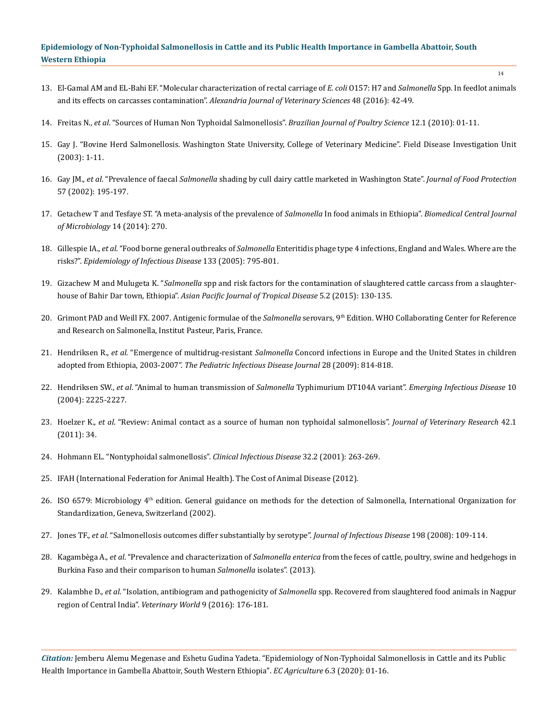- 13. El-Gamal AM and EL-Bahi EF. "Molecular characterization of rectal carriage of *E. coli* O157: H7 and *Salmonella* Spp. In feedlot animals and its effects on carcasses contamination". *Alexandria Journal of Veterinary Sciences* 48 (2016): 42-49.
- 14. Freitas N., *et al*[. "Sources of Human Non Typhoidal Salmonellosis".](https://www.researchgate.net/publication/245847201_Sources_of_Human_Non-Typhoid_Salmonellosis_A_Review) *Brazilian Journal of Poultry Science* 12.1 (2010): 01-11.
- 15. Gay J. "Bovine Herd Salmonellosis. Washington State University, College of Veterinary Medicine". Field Disease Investigation Unit (2003): 1-11.
- 16. Gay JM., *et al*. "Prevalence of faecal *Salmonella* shading by cull dairy cattle marketed in Washington State". *Journal of Food Protection* 57 (2002): 195-197.
- 17. [Getachew T and Tesfaye ST. "A meta-analysis of the prevalence of](https://bmcmicrobiol.biomedcentral.com/articles/10.1186/s12866-014-0270-y) *Salmonella* In food animals in Ethiopia". *Biomedical Central Journal [of Microbiology](https://bmcmicrobiol.biomedcentral.com/articles/10.1186/s12866-014-0270-y)* 14 (2014): 270.
- 18. Gillespie IA., *et al*. "Food borne general outbreaks of *Salmonella* [Enteritidis phage type 4 infections, England and Wales. Where are the](https://www.ncbi.nlm.nih.gov/pubmed/16181497)  risks?". *[Epidemiology of Infectious Disease](https://www.ncbi.nlm.nih.gov/pubmed/16181497)* 133 (2005): 795-801.
- 19. Gizachew M and Mulugeta K. "*Salmonella* [spp and risk factors for the contamination of slaughtered cattle carcass from a slaughter](https://www.sciencedirect.com/science/article/pii/S222218081460640X)house of Bahir Dar town, Ethiopia". *[Asian Pacific Journal of Tropical Disease](https://www.sciencedirect.com/science/article/pii/S222218081460640X)* 5.2 (2015): 130-135.
- 20. [Grimont PAD and Weill FX. 2007. Antigenic formulae of the](https://www.pasteur.fr/sites/default/files/veng_0.pdf) *Salmonella* serovars, 9th Edition. WHO Collaborating Center for Reference [and Research on Salmonella, Institut Pasteur, Paris, France.](https://www.pasteur.fr/sites/default/files/veng_0.pdf)
- 21. Hendriksen R., *et al*. "Emergence of multidrug-resistant *Salmonella* [Concord infections in Europe and the United States in children](https://www.semanticscholar.org/paper/Emergence-of-multidrug-resistant-salmonella-concord-Hendriksen-Mikoleit/6faa3373ad7fd51895e48a91326b908d98075d9a) adopted from Ethiopia, 2003-2007". *[The Pediatric Infectious Disease Journal](https://www.semanticscholar.org/paper/Emergence-of-multidrug-resistant-salmonella-concord-Hendriksen-Mikoleit/6faa3373ad7fd51895e48a91326b908d98075d9a)* 28 (2009): 814-818.
- 22. Hendriksen SW., *et al*[. "Animal to human transmission of](https://www.ncbi.nlm.nih.gov/pubmed/15663868) *Salmonella* Typhimurium DT104A variant". *Emerging Infectious Disease* 10 [\(2004\): 2225-2227.](https://www.ncbi.nlm.nih.gov/pubmed/15663868)
- 23. Hoelzer K., *et al*[. "Review: Animal contact as a source of human non typhoidal salmonellosis".](https://www.researchgate.net/publication/49838780_Animal_contact_as_a_source_of_human_non-typhoidal_salmonellosis-Review) *Journal of Veterinary Research* 42.1 [\(2011\): 34.](https://www.researchgate.net/publication/49838780_Animal_contact_as_a_source_of_human_non-typhoidal_salmonellosis-Review)
- 24. [Hohmann EL. "Nontyphoidal salmonellosis".](https://academic.oup.com/cid/article/32/2/263/320257) *Clinical Infectious Disease* 32.2 (2001): 263-269.
- 25. IFAH (International Federation for Animal Health). The Cost of Animal Disease (2012).
- 26. ISO 6579: Microbiology 4<sup>th</sup> edition. General guidance on methods for the detection of Salmonella, International Organization for Standardization, Geneva, Switzerland (2002).
- 27. Jones TF., *et al*[. "Salmonellosis outcomes differ substantially by serotype".](https://academic.oup.com/jid/article/198/1/109/840110) *Journal of Infectious Disease* 198 (2008): 109-114.
- 28. Kagambèga A., *et al*. "Prevalence and characterization of *Salmonella enterica* [from the feces of cattle, poultry, swine and hedgehogs in](https://bmcmicrobiol.biomedcentral.com/articles/10.1186/1471-2180-13-253)  [Burkina Faso and their comparison to human](https://bmcmicrobiol.biomedcentral.com/articles/10.1186/1471-2180-13-253) *Salmonella* isolates". (2013).
- 29. Kalambhe D., *et al*. "Isolation, antibiogram and pathogenicity of *Salmonella* [spp. Recovered from slaughtered food animals in Nagpur](https://www.ncbi.nlm.nih.gov/pubmed/27051204) [region of Central India".](https://www.ncbi.nlm.nih.gov/pubmed/27051204) *Veterinary World* 9 (2016): 176-181.

*Citation:* Jemberu Alemu Megenase and Eshetu Gudina Yadeta. "Epidemiology of Non-Typhoidal Salmonellosis in Cattle and its Public Health Importance in Gambella Abattoir, South Western Ethiopia". *EC Agriculture* 6.3 (2020): 01-16.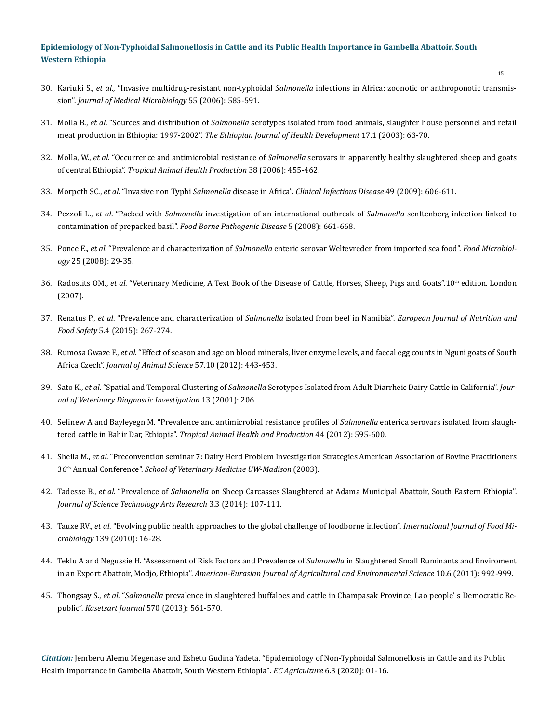- 30. Kariuki S., *et al*., "Invasive multidrug-resistant non-typhoidal *Salmonella* [infections in Africa: zoonotic or anthroponotic transmis](https://www.ncbi.nlm.nih.gov/pubmed/16585646)sion". *[Journal of Medical Microbiology](https://www.ncbi.nlm.nih.gov/pubmed/16585646)* 55 (2006): 585-591.
- 31. Molla B., *et al*. "Sources and distribution of *Salmonella* [serotypes isolated from food animals, slaughter house personnel and retail](https://www.ajol.info/index.php/ejhd/article/view/9782) meat production in Ethiopia: 1997-2002". *[The Ethiopian Journal of Health Development](https://www.ajol.info/index.php/ejhd/article/view/9782)* 17.1 (2003): 63-70.
- 32. Molla, W., *et al*. "Occurrence and antimicrobial resistance of *Salmonella* [serovars in apparently healthy slaughtered sheep and goats](https://www.ncbi.nlm.nih.gov/pubmed/17243472) of central Ethiopia". *[Tropical Animal Health Production](https://www.ncbi.nlm.nih.gov/pubmed/17243472)* 38 (2006): 455-462.
- 33. Morpeth SC., *et al*. "Invasive non Typhi *Salmonella* disease in Africa". *[Clinical Infectious Disease](https://www.ncbi.nlm.nih.gov/pmc/articles/PMC2741563/)* 49 (2009): 606-611.
- 34. Pezzoli L., *et al*. "Packed with *Salmonella* [investigation of an international outbreak of](https://www.researchgate.net/publication/23314360_Packed_with_Salmonella_-Investigation_of_an_International_Outbreak_of_Salmonella_Senftenberg_Infection_Linked_to_Contamination_of_Prepacked_Basil_in_2007) *Salmonella* senftenberg infection linked to contamination of prepacked basil". *[Food Borne Pathogenic Disease](https://www.researchgate.net/publication/23314360_Packed_with_Salmonella_-Investigation_of_an_International_Outbreak_of_Salmonella_Senftenberg_Infection_Linked_to_Contamination_of_Prepacked_Basil_in_2007)* 5 (2008): 661-668.
- 35. Ponce E., *et al*. "Prevalence and characterization of *Salmonella* [enteric serovar Weltevreden from imported sea food".](https://www.ncbi.nlm.nih.gov/pubmed/17993374) *Food Microbiology* [25 \(2008\): 29-35.](https://www.ncbi.nlm.nih.gov/pubmed/17993374)
- 36. Radostits OM., *et al*[. "Veterinary Medicine, A Text Book of the Disease of Cattle, Horses, Sheep, Pigs and Goats".10](https://www.elsevier.com/books/veterinary-medicine/radostits/978-0-7020-2777-2)th edition. London [\(2007\).](https://www.elsevier.com/books/veterinary-medicine/radostits/978-0-7020-2777-2)
- 37. Renatus P., *et al*. "Prevalence and characterization of *Salmonella* isolated from beef in Namibia". *[European Journal of Nutrition and](https://www.researchgate.net/publication/281781153_Prevalence_and_Characterization_of_Salmonella_Isolated_from_Beef_in_Namibia) Food Safety* [5.4 \(2015\): 267-274.](https://www.researchgate.net/publication/281781153_Prevalence_and_Characterization_of_Salmonella_Isolated_from_Beef_in_Namibia)
- 38. Rumosa Gwaze F., *et al*[. "Effect of season and age on blood minerals, liver enzyme levels, and faecal egg counts in Nguni goats of South](https://www.agriculturejournals.cz/publicFiles/75150.pdf) Africa Czech". *[Journal of Animal Science](https://www.agriculturejournals.cz/publicFiles/75150.pdf)* 57.10 (2012): 443-453.
- 39. Sato K., *et al*. "Spatial and Temporal Clustering of *Salmonella* [Serotypes Isolated from Adult Diarrheic Dairy Cattle in California".](https://journals.sagepub.com/doi/10.1177/104063870101300304) *Jour[nal of Veterinary Diagnostic Investigation](https://journals.sagepub.com/doi/10.1177/104063870101300304)* 13 (2001): 206.
- 40. [Sefinew A and Bayleyegn M. "Prevalence and antimicrobial resistance profiles of](https://www.ncbi.nlm.nih.gov/pubmed/21814750) *Salmonella* enterica serovars isolated from slaughtered cattle in Bahir Dar, Ethiopia". *[Tropical Animal Health and Production](https://www.ncbi.nlm.nih.gov/pubmed/21814750)* 44 (2012): 595-600.
- 41. Sheila M., *et al*. "Preconvention seminar 7: Dairy Herd Problem Investigation Strategies American Association of Bovine Practitioners 36th Annual Conference". *School of Veterinary Medicine UW-Madison* (2003).
- 42. Tadesse B., *et al*. "Prevalence of *Salmonella* [on Sheep Carcasses Slaughtered at Adama Municipal Abattoir, South Eastern Ethiopia".](https://www.ajol.info/index.php/star/article/view/109828) *[Journal of Science Technology Arts Research](https://www.ajol.info/index.php/star/article/view/109828)* 3.3 (2014): 107-111.
- 43. Tauxe RV., *et al*[. "Evolving public health approaches to the global challenge of foodborne infection".](https://www.ncbi.nlm.nih.gov/pubmed/19931203) *International Journal of Food Microbiology* [139 \(2010\): 16-28.](https://www.ncbi.nlm.nih.gov/pubmed/19931203)
- 44. [Teklu A and Negussie H. "Assessment of Risk Factors and Prevalence of](https://www.researchgate.net/publication/235412850_Assessment_of_risk_factors_and_prevalence_of_Salmonella_in_slaughtered_small_ruminants_and_environment_in_an_export_abattoir_Modjo_Ethiopia) *Salmonella* in Slaughtered Small Ruminants and Enviroment in an Export Abattoir, Modjo, Ethiopia". *[American-Eurasian Journal of Agricultural and Environmental Science](https://www.researchgate.net/publication/235412850_Assessment_of_risk_factors_and_prevalence_of_Salmonella_in_slaughtered_small_ruminants_and_environment_in_an_export_abattoir_Modjo_Ethiopia)* 10.6 (2011): 992-999.
- 45. Thongsay S., *et al*. "*Salmonella* [prevalence in slaughtered buffaloes and cattle in Champasak Province, Lao people' s Democratic Re](http://agris.fao.org/agris-search/search.do?recordID=TH2016003512)public". *Kasetsart Journal* [570 \(2013\): 561-570.](http://agris.fao.org/agris-search/search.do?recordID=TH2016003512)

*Citation:* Jemberu Alemu Megenase and Eshetu Gudina Yadeta. "Epidemiology of Non-Typhoidal Salmonellosis in Cattle and its Public Health Importance in Gambella Abattoir, South Western Ethiopia". *EC Agriculture* 6.3 (2020): 01-16.